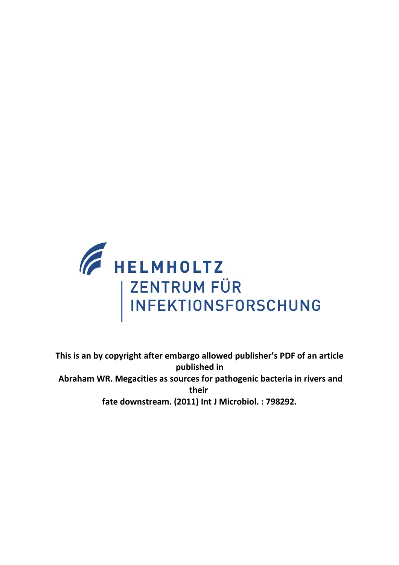

**This is an by copyright after embargo allowed publisher's PDF of an article published in Abraham WR. Megacities as sources for pathogenic bacteria in rivers and their fate downstream. (2011) Int J Microbiol. : 798292.**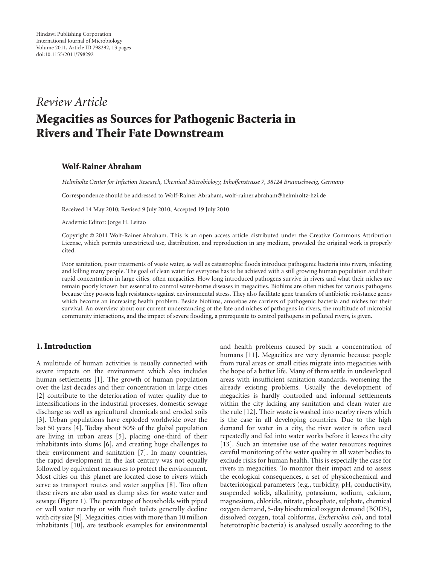# *Review Article*

# **Megacities as Sources for Pathogenic Bacteria in Rivers and Their Fate Downstream**

## **Wolf-Rainer Abraham**

*Helmholtz Center for Infection Research, Chemical Microbiology, Inhoffenstrasse 7, 38124 Braunschweig, Germany*

Correspondence should be addressed to Wolf-Rainer Abraham, [wolf-rainer.abraham@helmholtz-hzi.de](mailto:wolf-rainer.abraham@helmholtz-hzi.de)

Received 14 May 2010; Revised 9 July 2010; Accepted 19 July 2010

Academic Editor: Jorge H. Leitao

Copyright © 2011 Wolf-Rainer Abraham. This is an open access article distributed under the Creative Commons Attribution License, which permits unrestricted use, distribution, and reproduction in any medium, provided the original work is properly cited.

Poor sanitation, poor treatments of waste water, as well as catastrophic floods introduce pathogenic bacteria into rivers, infecting and killing many people. The goal of clean water for everyone has to be achieved with a still growing human population and their rapid concentration in large cities, often megacities. How long introduced pathogens survive in rivers and what their niches are remain poorly known but essential to control water-borne diseases in megacities. Biofilms are often niches for various pathogens because they possess high resistances against environmental stress. They also facilitate gene transfers of antibiotic resistance genes which become an increasing health problem. Beside biofilms, amoebae are carriers of pathogenic bacteria and niches for their survival. An overview about our current understanding of the fate and niches of pathogens in rivers, the multitude of microbial community interactions, and the impact of severe flooding, a prerequisite to control pathogens in polluted rivers, is given.

## **1. Introduction**

A multitude of human activities is usually connected with severe impacts on the environment which also includes human settlements [\[1\]](#page-9-1). The growth of human population over the last decades and their concentration in large cities [\[2](#page-9-2)] contribute to the deterioration of water quality due to intensifications in the industrial processes, domestic sewage discharge as well as agricultural chemicals and eroded soils [\[3](#page-9-3)]. Urban populations have exploded worldwide over the last 50 years [\[4\]](#page-9-4). Today about 50% of the global population are living in urban areas [\[5\]](#page-9-5), placing one-third of their inhabitants into slums [\[6](#page-9-6)], and creating huge challenges to their environment and sanitation [\[7\]](#page-9-7). In many countries, the rapid development in the last century was not equally followed by equivalent measures to protect the environment. Most cities on this planet are located close to rivers which serve as transport routes and water supplies [\[8](#page-9-8)]. Too often these rivers are also used as dump sites for waste water and sewage [\(Figure 1\)](#page-2-0). The percentage of households with piped or well water nearby or with flush toilets generally decline with city size [\[9](#page-9-9)]. Megacities, cities with more than 10 million inhabitants [\[10\]](#page-9-10), are textbook examples for environmental

and health problems caused by such a concentration of humans [\[11\]](#page-9-11). Megacities are very dynamic because people from rural areas or small cities migrate into megacities with the hope of a better life. Many of them settle in undeveloped areas with insufficient sanitation standards, worsening the already existing problems. Usually the development of megacities is hardly controlled and informal settlements within the city lacking any sanitation and clean water are the rule [\[12](#page-9-12)]. Their waste is washed into nearby rivers which is the case in all developing countries. Due to the high demand for water in a city, the river water is often used repeatedly and fed into water works before it leaves the city [\[13\]](#page-9-13). Such an intensive use of the water resources requires careful monitoring of the water quality in all water bodies to exclude risks for human health. This is especially the case for rivers in megacities. To monitor their impact and to assess the ecological consequences, a set of physicochemical and bacteriological parameters (e.g., turbidity, pH, conductivity, suspended solids, alkalinity, potassium, sodium, calcium, magnesium, chloride, nitrate, phosphate, sulphate, chemical oxygen demand, 5-day biochemical oxygen demand (BOD5), dissolved oxygen, total coliforms, *Escherichia coli*, and total heterotrophic bacteria) is analysed usually according to the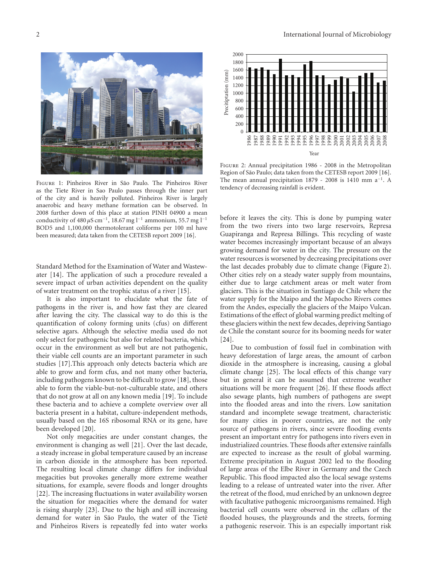

FIGURE 1: Pinheiros River in São Paulo. The Pinheiros River as the Tiete River in Sao Paulo passes through the inner part of the city and is heavily polluted. Pinheiros River is largely anaerobic and heavy methane formation can be observed. In 2008 further down of this place at station PINH 04900 a mean conductivity of 480 *μ*S cm*−*1, 18.67 mg l*−*<sup>1</sup> ammonium, 55.7 mg l*−*<sup>1</sup> BOD5 and 1,100,000 thermotolerant coliforms per 100 ml have been measured; data taken from the CETESB report 2009 [\[16\]](#page-9-14).

<span id="page-2-0"></span>Standard Method for the Examination of Water and Wastewater [\[14](#page-9-15)]. The application of such a procedure revealed a severe impact of urban activities dependent on the quality of water treatment on the trophic status of a river [\[15](#page-9-16)].

It is also important to elucidate what the fate of pathogens in the river is, and how fast they are cleared after leaving the city. The classical way to do this is the quantification of colony forming units (cfus) on different selective agars. Although the selective media used do not only select for pathogenic but also for related bacteria, which occur in the environment as well but are not pathogenic, their viable cell counts are an important parameter in such studies [\[17](#page-9-17)].This approach only detects bacteria which are able to grow and form cfus, and not many other bacteria, including pathogens known to be difficult to grow [\[18\]](#page-9-18), those able to form the viable-but-not-culturable state, and others that do not grow at all on any known media [\[19\]](#page-9-19). To include these bacteria and to achieve a complete overview over all bacteria present in a habitat, culture-independent methods, usually based on the 16S ribosomal RNA or its gene, have been developed [\[20\]](#page-9-20).

Not only megacities are under constant changes, the environment is changing as well [\[21](#page-9-21)]. Over the last decade, a steady increase in global temperature caused by an increase in carbon dioxide in the atmosphere has been reported. The resulting local climate change differs for individual megacities but provokes generally more extreme weather situations, for example, severe floods and longer droughts [\[22\]](#page-9-22). The increasing fluctuations in water availability worsen the situation for megacities where the demand for water is rising sharply [\[23](#page-10-0)]. Due to the high and still increasing demand for water in São Paulo, the water of the Tietê and Pinheiros Rivers is repeatedly fed into water works



<span id="page-2-1"></span>Figure 2: Annual precipitation 1986 - 2008 in the Metropolitan Region of São Paulo; data taken from the CETESB report 2009 [[16](#page-9-14)]. The mean annual precipitation 1879 - 2008 is 1410 mm a*−*1. A tendency of decreasing rainfall is evident.

before it leaves the city. This is done by pumping water from the two rivers into two large reservoirs, Represa Guapiranga and Represa Billings. This recycling of waste water becomes increasingly important because of an always growing demand for water in the city. The pressure on the water resources is worsened by decreasing precipitations over the last decades probably due to climate change [\(Figure 2\)](#page-2-1). Other cities rely on a steady water supply from mountains, either due to large catchment areas or melt water from glaciers. This is the situation in Santiago de Chile where the water supply for the Maipo and the Mapocho Rivers comes from the Andes, especially the glaciers of the Maipo Vulcan. Estimations of the effect of global warming predict melting of these glaciers within the next few decades, depriving Santiago de Chile the constant source for its booming needs for water  $\left[24\right]$ .

Due to combustion of fossil fuel in combination with heavy deforestation of large areas, the amount of carbon dioxide in the atmosphere is increasing, causing a global climate change [\[25](#page-10-2)]. The local effects of this change vary but in general it can be assumed that extreme weather situations will be more frequent [\[26\]](#page-10-3). If these floods affect also sewage plants, high numbers of pathogens are swept into the flooded areas and into the rivers. Low sanitation standard and incomplete sewage treatment, characteristic for many cities in poorer countries, are not the only source of pathogens in rivers, since severe flooding events present an important entry for pathogens into rivers even in industrialized countries. These floods after extensive rainfalls are expected to increase as the result of global warming. Extreme precipitation in August 2002 led to the flooding of large areas of the Elbe River in Germany and the Czech Republic. This flood impacted also the local sewage systems leading to a release of untreated water into the river. After the retreat of the flood, mud enriched by an unknown degree with facultative pathogenic microorganisms remained. High bacterial cell counts were observed in the cellars of the flooded houses, the playgrounds and the streets, forming a pathogenic reservoir. This is an especially important risk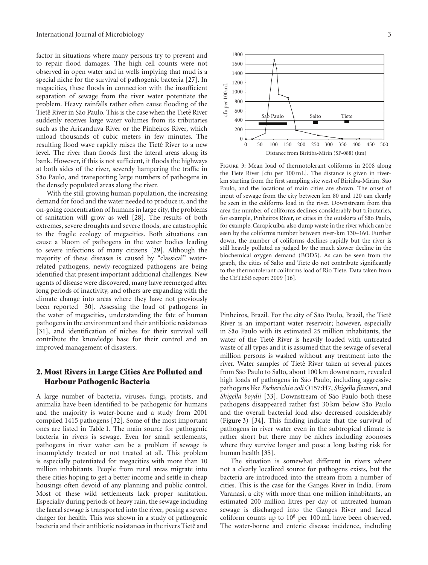factor in situations where many persons try to prevent and to repair flood damages. The high cell counts were not observed in open water and in wells implying that mud is a special niche for the survival of pathogenic bacteria [\[27](#page-10-4)]. In megacities, these floods in connection with the insufficient separation of sewage from the river water potentiate the problem. Heavy rainfalls rather often cause flooding of the Tietê River in São Paulo. This is the case when the Tietê River suddenly receives large water volumes from its tributaries such as the Aricanduva River or the Pinheiros River, which unload thousands of cubic meters in few minutes. The resulting flood wave rapidly raises the Tietê River to a new level. The river than floods first the lateral areas along its bank. However, if this is not sufficient, it floods the highways at both sides of the river, severely hampering the traffic in São Paulo, and transporting large numbers of pathogens in the densely populated areas along the river.

With the still growing human population, the increasing demand for food and the water needed to produce it, and the on-going concentration of humans in large city, the problems of sanitation will grow as well [\[28](#page-10-5)]. The results of both extremes, severe droughts and severe floods, are catastrophic to the fragile ecology of megacities. Both situations can cause a bloom of pathogens in the water bodies leading to severe infections of many citizens [\[29\]](#page-10-6). Although the majority of these diseases is caused by "classical" waterrelated pathogens, newly-recognized pathogens are being identified that present important additional challenges. New agents of disease were discovered, many have reemerged after long periods of inactivity, and others are expanding with the climate change into areas where they have not previously been reported [\[30](#page-10-7)]. Assessing the load of pathogens in the water of megacities, understanding the fate of human pathogens in the environment and their antibiotic resistances [\[31\]](#page-10-8), and identification of niches for their survival will contribute the knowledge base for their control and an improved management of disasters.

# **2. Most Rivers in Large Cities Are Polluted and Harbour Pathogenic Bacteria**

A large number of bacteria, viruses, fungi, protists, and animalia have been identified to be pathogenic for humans and the majority is water-borne and a study from 2001 compiled 1415 pathogens [\[32\]](#page-10-9). Some of the most important ones are listed in [Table 1.](#page-4-0) The main source for pathogenic bacteria in rivers is sewage. Even for small settlements, pathogens in river water can be a problem if sewage is incompletely treated or not treated at all. This problem is especially potentiated for megacities with more than 10 million inhabitants. People from rural areas migrate into these cities hoping to get a better income and settle in cheap housings often devoid of any planning and public control. Most of these wild settlements lack proper sanitation. Especially during periods of heavy rain, the sewage including the faecal sewage is transported into the river, posing a severe danger for health. This was shown in a study of pathogenic bacteria and their antibiotic resistances in the rivers Tietê and



<span id="page-3-0"></span>Figure 3: Mean load of thermotolerant coliforms in 2008 along the Tiete River [cfu per 100 mL]. The distance is given in riverkm starting from the first sampling site west of Biritiba-Mirim, São Paulo, and the locations of main cities are shown. The onset of input of sewage from the city between km 80 and 120 can clearly be seen in the coliforms load in the river. Downstream from this area the number of coliforms declines considerably but tributaries, for example, Pinheiros River, or cities in the outskirts of São Paulo, for example, Carapicuíba, also dump waste in the river which can be seen by the coliforms number between river-km 130–160. Further down, the number of coliforms declines rapidly but the river is still heavily polluted as judged by the much slower decline in the biochemical oxygen demand (BOD5). As can be seen from the graph, the cities of Salto and Tiete do not contribute significantly to the thermotolerant coliforms load of Rio Tiete. Data taken from the CETESB report 2009 [\[16\]](#page-9-14).

Pinheiros, Brazil. For the city of São Paulo, Brazil, the Tietê River is an important water reservoir; however, especially in São Paulo with its estimated 25 million inhabitants, the water of the Tietê River is heavily loaded with untreated waste of all types and it is assumed that the sewage of several million persons is washed without any treatment into the river. Water samples of Tietê River taken at several places from São Paulo to Salto, about 100 km downstream, revealed high loads of pathogens in São Paulo, including aggressive pathogens like *Escherichia coli* O157:H7, *Shigella flexneri*, and *Shigella boydii* [\[33\]](#page-10-10). Downstream of São Paulo both these pathogens disappeared rather fast 30 km below São Paulo and the overall bacterial load also decreased considerably [\(Figure 3\)](#page-3-0) [\[34](#page-10-11)]. This finding indicate that the survival of pathogens in river water even in the subtropical climate is rather short but there may be niches including zoonoses where they survive longer and pose a long lasting risk for human health [\[35\]](#page-10-12).

The situation is somewhat different in rivers where not a clearly localized source for pathogens exists, but the bacteria are introduced into the stream from a number of cities. This is the case for the Ganges River in India. From Varanasi, a city with more than one million inhabitants, an estimated 200 million litres per day of untreated human sewage is discharged into the Ganges River and faecal coliform counts up to 108 per 100 mL have been observed. The water-borne and enteric disease incidence, including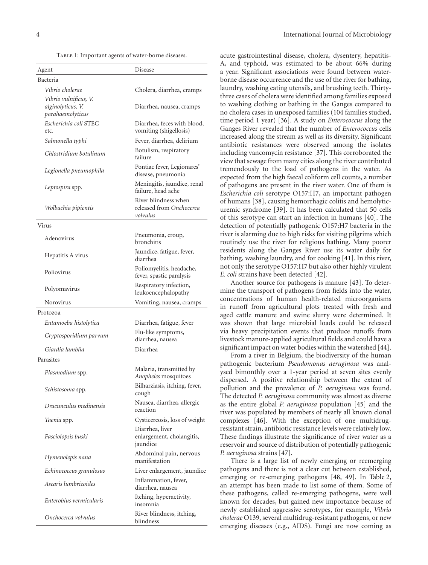<span id="page-4-0"></span>Table 1: Important agents of water-borne diseases.

| Agent                                 | Disease                                                      |
|---------------------------------------|--------------------------------------------------------------|
| Bacteria                              |                                                              |
| Vibrio cholerae                       | Cholera, diarrhea, cramps                                    |
| Vibrio vulnificus, V.                 |                                                              |
| alginolyticus, V.<br>parahaemolyticus | Diarrhea, nausea, cramps                                     |
| Escherichia coli STEC<br>etc.         | Diarrhea, feces with blood,<br>vomiting (shigellosis)        |
| Salmonella typhi                      | Fever, diarrhea, delirium                                    |
| Chlostridium botulinum                | Botulism, respiratory<br>failure                             |
| Legionella pneumophila                | Pontiac fever, Legionares'<br>disease, pneumonia             |
| Leptospira spp.                       | Meningitis, jaundice, renal<br>failure, head ache            |
| Wolbachia pipientis                   | River blindness when<br>released from Onchocerca<br>volvulus |
| Virus                                 |                                                              |
| Adenovirus                            | Pneumonia, croup,<br>bronchitis                              |
| Hepatitis A virus                     | Jaundice, fatigue, fever,<br>diarrhea                        |
| Poliovirus                            | Poliomyelitis, headache,<br>fever, spastic paralysis         |
| Polyomavirus                          | Respiratory infection,<br>leukoencephalopathy                |
| Norovirus                             | Vomiting, nausea, cramps                                     |
| Protozoa                              |                                                              |
| Entamoeba histolytica                 | Diarrhea, fatigue, fever                                     |
| Cryptosporidium parvum                | Flu-like symptoms,<br>diarrhea, nausea                       |
| Giardia lamblia                       | Diarrhea                                                     |
| Parasites                             |                                                              |
| Plasmodium spp.                       | Malaria, transmitted by<br>Anopheles mosquitoes              |
| Schistosoma spp.                      | Bilharziasis, itching, fever,<br>cough                       |
| Dracunculus medinensis                | Nausea, diarrhea, allergic<br>reaction                       |
| Taenia spp.                           | Cysticercosis, loss of weight                                |
| Fasciolopsis buski                    | Diarrhea, liver<br>enlargement, cholangitis,<br>jaundice     |
| Hymenolepis nana                      | Abdominal pain, nervous<br>manifestation                     |
| Echinococcus granulosus               | Liver enlargement, jaundice                                  |
| Ascaris lumbricoides                  | Inflammation, fever,<br>diarrhea, nausea                     |
| Enterobius vermicularis               | Itching, hyperactivity,<br>insomnia                          |
| Onchocerca volvulus                   | River blindness, itching,<br>blindness                       |

acute gastrointestinal disease, cholera, dysentery, hepatitis-A, and typhoid, was estimated to be about 66% during a year. Significant associations were found between waterborne disease occurrence and the use of the river for bathing, laundry, washing eating utensils, and brushing teeth. Thirtythree cases of cholera were identified among families exposed to washing clothing or bathing in the Ganges compared to no cholera cases in unexposed families (104 families studied, time period 1 year) [\[36](#page-10-13)]. A study on *Enterococcus* along the Ganges River revealed that the number of *Enterococcus* cells increased along the stream as well as its diversity. Significant antibiotic resistances were observed among the isolates including vancomycin resistance [\[37](#page-10-14)]. This corroborated the view that sewage from many cities along the river contributed tremendously to the load of pathogens in the water. As expected from the high faecal coliform cell counts, a number of pathogens are present in the river water. One of them is *Escherichia coli* serotype O157:H7, an important pathogen of humans [\[38](#page-10-15)], causing hemorrhagic colitis and hemolyticuremic syndrome [\[39\]](#page-10-16). It has been calculated that 50 cells of this serotype can start an infection in humans [\[40](#page-10-17)]. The detection of potentially pathogenic O157:H7 bacteria in the river is alarming due to high risks for visiting pilgrims which routinely use the river for religious bathing. Many poorer residents along the Ganges River use its water daily for bathing, washing laundry, and for cooking [\[41\]](#page-10-18). In this river, not only the serotype O157:H7 but also other highly virulent *E. coli* strains have been detected [\[42](#page-10-19)].

Another source for pathogens is manure [\[43](#page-10-20)]. To determine the transport of pathogens from fields into the water, concentrations of human health-related microorganisms in runoff from agricultural plots treated with fresh and aged cattle manure and swine slurry were determined. It was shown that large microbial loads could be released via heavy precipitation events that produce runoffs from livestock manure-applied agricultural fields and could have a significant impact on water bodies within the watershed [\[44\]](#page-10-21).

From a river in Belgium, the biodiversity of the human pathogenic bacterium *Pseudomonas aeruginosa* was analysed bimonthly over a 1-year period at seven sites evenly dispersed. A positive relationship between the extent of pollution and the prevalence of *P. aeruginosa* was found. The detected *P. aeruginosa* community was almost as diverse as the entire global *P. aeruginosa* population [\[45\]](#page-10-22) and the river was populated by members of nearly all known clonal complexes [\[46](#page-10-23)]. With the exception of one multidrugresistant strain, antibiotic resistance levels were relatively low. These findings illustrate the significance of river water as a reservoir and source of distribution of potentially pathogenic *P. aeruginosa* strains [\[47](#page-10-24)].

There is a large list of newly emerging or reemerging pathogens and there is not a clear cut between established, emerging or re-emerging pathogens [\[48](#page-10-25), [49\]](#page-10-26). In [Table 2,](#page-5-0) an attempt has been made to list some of them. Some of these pathogens, called re-emerging pathogens, were well known for decades, but gained new importance because of newly established aggressive serotypes, for example, *Vibrio cholerae* O139, several multidrug-resistant pathogens, or new emerging diseases (e.g., AIDS). Fungi are now coming as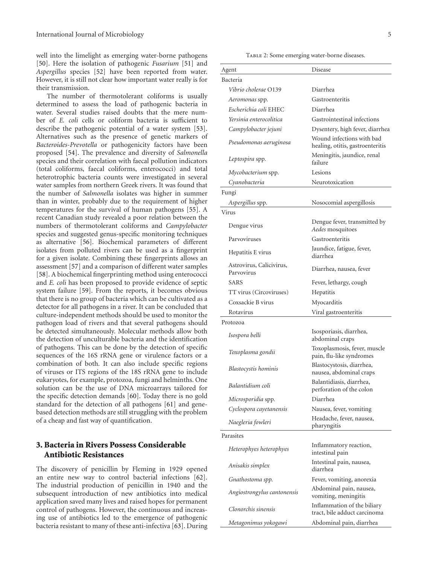well into the limelight as emerging water-borne pathogens [\[50\]](#page-10-27). Here the isolation of pathogenic *Fusarium* [\[51](#page-10-28)] and *Aspergillus* species [\[52\]](#page-10-29) have been reported from water. However, it is still not clear how important water really is for their transmission.

The number of thermotolerant coliforms is usually determined to assess the load of pathogenic bacteria in water. Several studies raised doubts that the mere number of *E. coli* cells or coliform bacteria is sufficient to describe the pathogenic potential of a water system [\[53\]](#page-10-30). Alternatives such as the presence of genetic markers of *Bacteroides-Prevotella* or pathogenicity factors have been proposed [\[54\]](#page-10-31). The prevalence and diversity of *Salmonella* species and their correlation with faecal pollution indicators (total coliforms, faecal coliforms, enterococci) and total heterotrophic bacteria counts were investigated in several water samples from northern Greek rivers. It was found that the number of *Salmonella* isolates was higher in summer than in winter, probably due to the requirement of higher temperatures for the survival of human pathogens [\[55\]](#page-10-32). A recent Canadian study revealed a poor relation between the numbers of thermotolerant coliforms and *Campylobacter* species and suggested genus-specific monitoring techniques as alternative [\[56\]](#page-10-33). Biochemical parameters of different isolates from polluted rivers can be used as a fingerprint for a given isolate. Combining these fingerprints allows an assessment [\[57\]](#page-11-0) and a comparison of different water samples [\[58\]](#page-11-1). A biochemical fingerprinting method using enterococci and *E. coli* has been proposed to provide evidence of septic system failure [\[59](#page-11-2)]. From the reports, it becomes obvious that there is no group of bacteria which can be cultivated as a detector for all pathogens in a river. It can be concluded that culture-independent methods should be used to monitor the pathogen load of rivers and that several pathogens should be detected simultaneously. Molecular methods allow both the detection of unculturable bacteria and the identification of pathogens. This can be done by the detection of specific sequences of the 16S rRNA gene or virulence factors or a combination of both. It can also include specific regions of viruses or ITS regions of the 18S rRNA gene to include eukaryotes, for example, protozoa, fungi and helminths. One solution can be the use of DNA microarrays tailored for the specific detection demands [\[60](#page-11-3)]. Today there is no gold standard for the detection of all pathogens [\[61](#page-11-4)] and genebased detection methods are still struggling with the problem of a cheap and fast way of quantification.

# **3. Bacteria in Rivers Possess Considerable Antibiotic Resistances**

The discovery of penicillin by Fleming in 1929 opened an entire new way to control bacterial infections [\[62\]](#page-11-5). The industrial production of penicillin in 1940 and the subsequent introduction of new antibiotics into medical application saved many lives and raised hopes for permanent control of pathogens. However, the continuous and increasing use of antibiotics led to the emergence of pathogenic bacteria resistant to many of these anti-infectiva [\[63\]](#page-11-6). During

<span id="page-5-0"></span>TABLE 2: Some emerging water-borne diseases.

| Agent                                  | <b>Disease</b>                                                |
|----------------------------------------|---------------------------------------------------------------|
| Bacteria                               |                                                               |
| Vibrio cholerae O139                   | Diarrhea                                                      |
| Aeromonas spp.                         | Gastroenteritis                                               |
| Escherichia coli EHEC                  | Diarrhea                                                      |
| Yersinia enterocolitica                | Gastrointestinal infections                                   |
| Campylobacter jejuni                   | Dysentery, high fever, diarrhea                               |
| Pseudomonas aeruginosa                 | Wound infections with bad<br>healing, otitis, gastroenteritis |
| Leptospira spp.                        | Meningitis, jaundice, renal<br>failure                        |
| Mycobacterium spp.                     | Lesions                                                       |
| Cyanobacteria                          | Neurotoxication                                               |
| Fungi                                  |                                                               |
| Aspergillus spp.                       | Nosocomial aspergillosis                                      |
| Virus                                  |                                                               |
| Dengue virus                           | Dengue fever, transmitted by<br>Aedes mosquitoes              |
| Parvoviruses                           | Gastroenteritis                                               |
| Hepatitis E virus                      | Jaundice, fatigue, fever,<br>diarrhea                         |
| Astrovirus, Calicivirus,<br>Parvovirus | Diarrhea, nausea, fever                                       |
| SARS                                   | Fever, lethargy, cough                                        |
| TT virus (Circoviruses)                | Hepatitis                                                     |
| Coxsackie B virus                      | Myocarditis                                                   |
| Rotavirus                              | Viral gastroenteritis                                         |
| Protozoa                               |                                                               |
| Isospora belli                         | Isosporiasis, diarrhea,<br>abdominal craps                    |
| Toxoplasma gondii                      | Toxoplasmosis, fever, muscle<br>pain, flu-like syndromes      |
| Blastocystis hominis                   | Blastocystosis, diarrhea,<br>nausea, abdominal craps          |
| Balantidium coli                       | Balantidiasis, diarrhea,<br>perforation of the colon          |
| <i>Microsporidia</i> spp.              | Diarrhea                                                      |
| Cyclospora cayetanensis                | Nausea, fever, vomiting                                       |
| Naegleria fowleri                      | Headache, fever, nausea,<br>pharyngitis                       |
| Parasites                              |                                                               |
| Heterophyes heterophyes                | Inflammatory reaction,<br>intestinal pain                     |
| Anisakis simplex                       | Intestinal pain, nausea,<br>diarrhea                          |
| Gnathostoma spp.                       | Fever, vomiting, anorexia                                     |
| Angiostrongylus cantonensis            | Abdominal pain, nausea,<br>vomiting, meningitis               |
| Clonorchis sinensis                    | Inflammation of the biliary<br>tract, bile adduct carcinoma   |
| Metagonimus yokogawi                   | Abdominal pain, diarrhea                                      |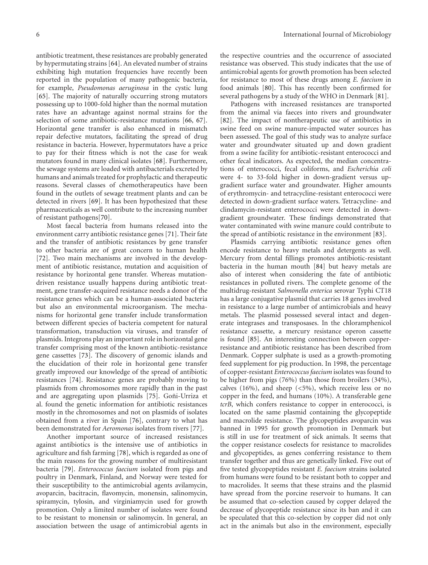antibiotic treatment, these resistances are probably generated by hypermutating strains [\[64](#page-11-7)]. An elevated number of strains exhibiting high mutation frequencies have recently been reported in the population of many pathogenic bacteria, for example, *Pseudomonas aeruginosa* in the cystic lung [\[65\]](#page-11-8). The majority of naturally occurring strong mutators possessing up to 1000-fold higher than the normal mutation rates have an advantage against normal strains for the selection of some antibiotic-resistance mutations [\[66,](#page-11-9) [67\]](#page-11-10). Horizontal gene transfer is also enhanced in mismatch repair defective mutators, facilitating the spread of drug resistance in bacteria. However, hypermutators have a price to pay for their fitness which is not the case for weak mutators found in many clinical isolates [\[68](#page-11-11)]. Furthermore, the sewage systems are loaded with antibacterials excreted by humans and animals treated for prophylactic and therapeutic reasons. Several classes of chemotherapeutics have been found in the outlets of sewage treatment plants and can be detected in rivers [\[69\]](#page-11-12). It has been hypothesized that these pharmaceuticals as well contribute to the increasing number of resistant pathogens[\[70\]](#page-11-13).

Most faecal bacteria from humans released into the environment carry antibiotic resistance genes [\[71\]](#page-11-14). Their fate and the transfer of antibiotic resistances by gene transfer to other bacteria are of great concern to human health [\[72\]](#page-11-15). Two main mechanisms are involved in the development of antibiotic resistance, mutation and acquisition of resistance by horizontal gene transfer. Whereas mutationdriven resistance usually happens during antibiotic treatment, gene transfer-acquired resistance needs a donor of the resistance genes which can be a human-associated bacteria but also an environmental microorganism. The mechanisms for horizontal gene transfer include transformation between different species of bacteria competent for natural transformation, transduction via viruses, and transfer of plasmids. Integrons play an important role in horizontal gene transfer comprising most of the known antibiotic-resistance gene cassettes [\[73\]](#page-11-16). The discovery of genomic islands and the elucidation of their role in horizontal gene transfer greatly improved our knowledge of the spread of antibiotic resistances [\[74](#page-11-17)]. Resistance genes are probably moving to plasmids from chromosomes more rapidly than in the past and are aggregating upon plasmids [\[75](#page-11-18)]. Goñi-Urriza et al. found the genetic information for antibiotic resistances mostly in the chromosomes and not on plasmids of isolates obtained from a river in Spain [\[76\]](#page-11-19), contrary to what has been demonstrated for *Aeromonas* isolates from rivers [\[77](#page-11-20)].

Another important source of increased resistances against antibiotics is the intensive use of antibiotics in agriculture and fish farming [\[78\]](#page-11-21), which is regarded as one of the main reasons for the growing number of multiresistant bacteria [\[79\]](#page-11-22). *Enterococcus faecium* isolated from pigs and poultry in Denmark, Finland, and Norway were tested for their susceptibility to the antimicrobial agents avilamycin, avoparcin, bacitracin, flavomycin, monensin, salinomycin, spiramycin, tylosin, and virginiamycin used for growth promotion. Only a limited number of isolates were found to be resistant to monensin or salinomycin. In general, an association between the usage of antimicrobial agents in

the respective countries and the occurrence of associated resistance was observed. This study indicates that the use of antimicrobial agents for growth promotion has been selected for resistance to most of these drugs among *E. faecium* in food animals [\[80\]](#page-11-23). This has recently been confirmed for several pathogens by a study of the WHO in Denmark [\[81](#page-11-24)].

Pathogens with increased resistances are transported from the animal via faeces into rivers and groundwater [\[82\]](#page-11-25). The impact of nontherapeutic use of antibiotics in swine feed on swine manure-impacted water sources has been assessed. The goal of this study was to analyze surface water and groundwater situated up and down gradient from a swine facility for antibiotic-resistant enterococci and other fecal indicators. As expected, the median concentrations of enterococci, fecal coliforms, and *Escherichia coli* were 4- to 33-fold higher in down-gradient versus upgradient surface water and groundwater. Higher amounts of erythromycin- and tetracycline-resistant enterococci were detected in down-gradient surface waters. Tetracycline- and clindamycin-resistant enterococci were detected in downgradient groundwater. These findings demonstrated that water contaminated with swine manure could contribute to the spread of antibiotic resistance in the environment [\[83](#page-11-26)].

Plasmids carrying antibiotic resistance genes often encode resistance to heavy metals and detergents as well. Mercury from dental fillings promotes antibiotic-resistant bacteria in the human mouth [\[84\]](#page-11-27) but heavy metals are also of interest when considering the fate of antibiotic resistances in polluted rivers. The complete genome of the multidrug-resistant *Salmonella enterica* serovar Typhi CT18 has a large conjugative plasmid that carries 18 genes involved in resistance to a large number of antimicrobials and heavy metals. The plasmid possessed several intact and degenerate integrases and transposases. In the chloramphenicol resistance cassette, a mercury resistance operon cassette is found [\[85](#page-11-28)]. An interesting connection between copperresistance and antibiotic resistance has been described from Denmark. Copper sulphate is used as a growth-promoting feed supplement for pig production. In 1998, the percentage of copper-resistant *Enterococcus faecium* isolates was found to be higher from pigs (76%) than those from broilers (34%), calves (16%), and sheep (*<*5%), which receive less or no copper in the feed, and humans (10%). A transferable gene *tcrB*, which confers resistance to copper in enterococci, is located on the same plasmid containing the glycopeptide and macrolide resistance. The glycopeptides avoparcin was banned in 1995 for growth promotion in Denmark but is still in use for treatment of sick animals. It seems that the copper resistance coselects for resistance to macrolides and glycopeptides, as genes conferring resistance to them transfer together and thus are genetically linked. Five out of five tested glycopeptides resistant *E. faecium* strains isolated from humans were found to be resistant both to copper and to macrolides. It seems that these strains and the plasmid have spread from the porcine reservoir to humans. It can be assumed that co-selection caused by copper delayed the decrease of glycopeptide resistance since its ban and it can be speculated that this co-selection by copper did not only act in the animals but also in the environment, especially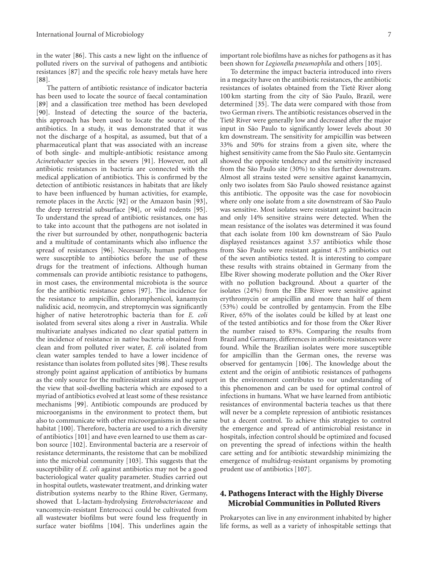in the water [\[86](#page-11-29)]. This casts a new light on the influence of polluted rivers on the survival of pathogens and antibiotic resistances [\[87\]](#page-12-0) and the specific role heavy metals have here [\[88\]](#page-12-1).

The pattern of antibiotic resistance of indicator bacteria has been used to locate the source of faecal contamination [\[89\]](#page-12-2) and a classification tree method has been developed [\[90\]](#page-12-3). Instead of detecting the source of the bacteria, this approach has been used to locate the source of the antibiotics. In a study, it was demonstrated that it was not the discharge of a hospital, as assumed, but that of a pharmaceutical plant that was associated with an increase of both single- and multiple-antibiotic resistance among *Acinetobacter* species in the sewers [\[91\]](#page-12-4). However, not all antibiotic resistances in bacteria are connected with the medical application of antibiotics. This is confirmed by the detection of antibiotic resistances in habitats that are likely to have been influenced by human activities, for example, remote places in the Arctic [\[92](#page-12-5)] or the Amazon basin [\[93\]](#page-12-6), the deep terrestrial subsurface [\[94\]](#page-12-7), or wild rodents [\[95\]](#page-12-8). To understand the spread of antibiotic resistances, one has to take into account that the pathogens are not isolated in the river but surrounded by other, nonpathogenic bacteria and a multitude of contaminants which also influence the spread of resistances [\[96\]](#page-12-9). Necessarily, human pathogens were susceptible to antibiotics before the use of these drugs for the treatment of infections. Although human commensals can provide antibiotic resistance to pathogens, in most cases, the environmental microbiota is the source for the antibiotic resistance genes [\[97](#page-12-10)]. The incidence for the resistance to ampicillin, chloramphenicol, kanamycin nalidixic acid, neomycin, and streptomycin was significantly higher of native heterotrophic bacteria than for *E. coli* isolated from several sites along a river in Australia. While multivariate analyses indicated no clear spatial pattern in the incidence of resistance in native bacteria obtained from clean and from polluted river water, *E. coli* isolated from clean water samples tended to have a lower incidence of resistance than isolates from polluted sites [\[98\]](#page-12-11). These results strongly point against application of antibiotics by humans as the only source for the multiresistant strains and support the view that soil-dwelling bacteria which are exposed to a myriad of antibiotics evolved at least some of these resistance mechanisms [\[99](#page-12-12)]. Antibiotic compounds are produced by microorganisms in the environment to protect them, but also to communicate with other microorganisms in the same habitat [\[100](#page-12-13)]. Therefore, bacteria are used to a rich diversity of antibiotics [\[101\]](#page-12-14) and have even learned to use them as carbon source [\[102](#page-12-15)]. Environmental bacteria are a reservoir of resistance determinants, the resistome that can be mobilized into the microbial community [\[103\]](#page-12-16). This suggests that the susceptibility of *E. coli* against antibiotics may not be a good bacteriological water quality parameter. Studies carried out in hospital outlets, wastewater treatment, and drinking water distribution systems nearby to the Rhine River, Germany, showed that L-lactam-hydrolysing *Enterobacteriaceae* and vancomycin-resistant Enterococci could be cultivated from all wastewater biofilms but were found less frequently in surface water biofilms [\[104](#page-12-17)]. This underlines again the

important role biofilms have as niches for pathogens as it has been shown for *Legionella pneumophila* and others [\[105\]](#page-12-18).

To determine the impact bacteria introduced into rivers in a megacity have on the antibiotic resistances, the antibiotic resistances of isolates obtained from the Tietê River along 100 km starting from the city of São Paulo, Brazil, were determined [\[35](#page-10-12)]. The data were compared with those from two German rivers. The antibiotic resistances observed in the Tietê River were generally low and decreased after the major input in São Paulo to significantly lower levels about 30 km downstream. The sensitivity for ampicillin was between 33% and 50% for strains from a given site, where the highest sensitivity came from the São Paulo site. Gentamycin showed the opposite tendency and the sensitivity increased from the São Paulo site (30%) to sites further downstream. Almost all strains tested were sensitive against kanamycin, only two isolates from São Paulo showed resistance against this antibiotic. The opposite was the case for novobiocin where only one isolate from a site downstream of São Paulo was sensitive. Most isolates were resistant against bacitracin and only 14% sensitive strains were detected. When the mean resistance of the isolates was determined it was found that each isolate from 100 km downstream of São Paulo displayed resistances against 3.57 antibiotics while those from São Paulo were resistant against 4.75 antibiotics out of the seven antibiotics tested. It is interesting to compare these results with strains obtained in Germany from the Elbe River showing moderate pollution and the Oker River with no pollution background. About a quarter of the isolates (24%) from the Elbe River were sensitive against erythromycin or ampicillin and more than half of them (53%) could be controlled by gentamycin. From the Elbe River, 65% of the isolates could be killed by at least one of the tested antibiotics and for those from the Oker River the number raised to 83%. Comparing the results from Brazil and Germany, differences in antibiotic resistances were found. While the Brazilian isolates were more susceptible for ampicillin than the German ones, the reverse was observed for gentamycin [\[106](#page-12-19)]. The knowledge about the extent and the origin of antibiotic resistances of pathogens in the environment contributes to our understanding of this phenomenon and can be used for optimal control of infections in humans. What we have learned from antibiotic resistances of environmental bacteria teaches us that there will never be a complete repression of antibiotic resistances but a decent control. To achieve this strategies to control the emergence and spread of antimicrobial resistance in hospitals, infection control should be optimized and focused on preventing the spread of infections within the health care setting and for antibiotic stewardship minimizing the emergence of multidrug-resistant organisms by promoting prudent use of antibiotics [\[107](#page-12-20)].

# **4. Pathogens Interact with the Highly Diverse Microbial Communities in Polluted Rivers**

Prokaryotes can live in any environment inhabited by higher life forms, as well as a variety of inhospitable settings that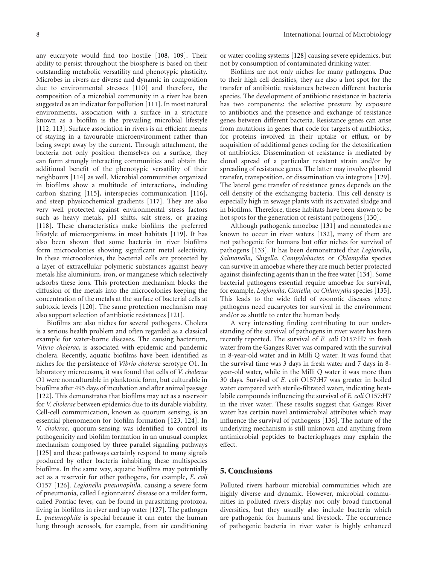any eucaryote would find too hostile [\[108](#page-12-21), [109](#page-12-22)]. Their ability to persist throughout the biosphere is based on their outstanding metabolic versatility and phenotypic plasticity. Microbes in rivers are diverse and dynamic in composition due to environmental stresses [\[110](#page-12-23)] and therefore, the composition of a microbial community in a river has been suggested as an indicator for pollution [\[111](#page-12-24)]. In most natural environments, association with a surface in a structure known as a biofilm is the prevailing microbial lifestyle [\[112,](#page-12-25) [113\]](#page-12-26). Surface association in rivers is an efficient means of staying in a favourable microenvironment rather than being swept away by the current. Through attachment, the bacteria not only position themselves on a surface, they can form strongly interacting communities and obtain the additional benefit of the phenotypic versatility of their neighbours [\[114\]](#page-12-27) as well. Microbial communities organized in biofilms show a multitude of interactions, including carbon sharing [\[115](#page-12-28)], interspecies communication [\[116\]](#page-12-29), and steep physicochemical gradients [\[117\]](#page-12-30). They are also very well protected against environmental stress factors such as heavy metals, pH shifts, salt stress, or grazing [\[118\]](#page-12-31). These characteristics make biofilms the preferred lifestyle of microorganisms in most habitats [\[119\]](#page-12-32). It has also been shown that some bacteria in river biofilms form microcolonies showing significant metal selectivity. In these microcolonies, the bacterial cells are protected by a layer of extracellular polymeric substances against heavy metals like aluminium, iron, or manganese which selectively adsorbs these ions. This protection mechanism blocks the diffusion of the metals into the microcolonies keeping the concentration of the metals at the surface of bacterial cells at subtoxic levels [\[120\]](#page-12-33). The same protection mechanism may also support selection of antibiotic resistances [\[121\]](#page-13-0).

Biofilms are also niches for several pathogens. Cholera is a serious health problem and often regarded as a classical example for water-borne diseases. The causing bacterium, *Vibrio cholerae*, is associated with epidemic and pandemic cholera. Recently, aquatic biofilms have been identified as niches for the persistence of *Vibrio cholerae* serotype O1. In laboratory microcosms, it was found that cells of *V. cholerae* O1 were nonculturable in planktonic form, but culturable in biofilms after 495 days of incubation and after animal passage [\[122\]](#page-13-1). This demonstrates that biofilms may act as a reservoir for *V. cholerae* between epidemics due to its durable viability. Cell-cell communication, known as quorum sensing, is an essential phenomenon for biofilm formation [\[123](#page-13-2), [124\]](#page-13-3). In *V. cholerae,* quorum-sensing was identified to control its pathogenicity and biofilm formation in an unusual complex mechanism composed by three parallel signaling pathways [\[125\]](#page-13-4) and these pathways certainly respond to many signals produced by other bacteria inhabiting these multispecies biofilms. In the same way, aquatic biofilms may potentially act as a reservoir for other pathogens, for example, *E. coli* O157 [\[126\]](#page-13-5). *Legionella pneumophila,* causing a severe form of pneumonia, called Legionnaires' disease or a milder form, called Pontiac fever, can be found in parasitizing protozoa, living in biofilms in river and tap water [\[127](#page-13-6)]. The pathogen *L. pneumophila* is special because it can enter the human lung through aerosols, for example, from air conditioning

or water cooling systems [\[128](#page-13-7)] causing severe epidemics, but not by consumption of contaminated drinking water.

Biofilms are not only niches for many pathogens. Due to their high cell densities, they are also a hot spot for the transfer of antibiotic resistances between different bacteria species. The development of antibiotic resistance in bacteria has two components: the selective pressure by exposure to antibiotics and the presence and exchange of resistance genes between different bacteria. Resistance genes can arise from mutations in genes that code for targets of antibiotics, for proteins involved in their uptake or efflux, or by acquisition of additional genes coding for the detoxification of antibiotics. Dissemination of resistance is mediated by clonal spread of a particular resistant strain and/or by spreading of resistance genes. The latter may involve plasmid transfer, transposition, or dissemination via integrons [\[129\]](#page-13-8). The lateral gene transfer of resistance genes depends on the cell density of the exchanging bacteria. This cell density is especially high in sewage plants with its activated sludge and in biofilms. Therefore, these habitats have been shown to be hot spots for the generation of resistant pathogens [\[130](#page-13-9)].

Although pathogenic amoebae [\[131\]](#page-13-10) and nematodes are known to occur in river waters [\[132\]](#page-13-11), many of them are not pathogenic for humans but offer niches for survival of pathogens [\[133\]](#page-13-12). It has been demonstrated that *Legionella*, *Salmonella*, *Shigella*, *Campylobacter,* or *Chlamydia* species can survive in amoebae where they are much better protected against disinfecting agents than in the free water [\[134](#page-13-13)]. Some bacterial pathogens essential require amoebae for survival, for example, *Legionella, Coxiella,* or *Chlamydia* species [\[135\]](#page-13-14). This leads to the wide field of zoonotic diseases where pathogens need eucaryotes for survival in the environment and/or as shuttle to enter the human body.

A very interesting finding contributing to our understanding of the survival of pathogens in river water has been recently reported. The survival of *E. coli* O157:H7 in fresh water from the Ganges River was compared with the survival in 8-year-old water and in Milli Q water. It was found that the survival time was 3 days in fresh water and 7 days in 8 year-old water, while in the Milli Q water it was more than 30 days. Survival of *E. coli* O157:H7 was greater in boiled water compared with sterile-filtrated water, indicating heatlabile compounds influencing the survival of *E. coli* O157:H7 in the river water. These results suggest that Ganges River water has certain novel antimicrobial attributes which may influence the survival of pathogens [\[136\]](#page-13-15). The nature of the underlying mechanism is still unknown and anything from antimicrobial peptides to bacteriophages may explain the effect.

#### **5. Conclusions**

Polluted rivers harbour microbial communities which are highly diverse and dynamic. However, microbial communities in polluted rivers display not only broad functional diversities, but they usually also include bacteria which are pathogenic for humans and livestock. The occurrence of pathogenic bacteria in river water is highly enhanced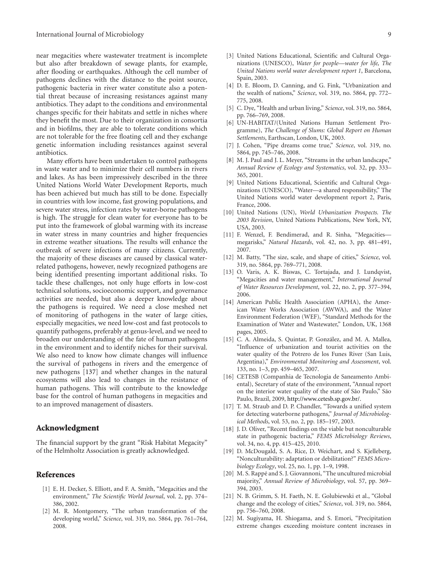near megacities where wastewater treatment is incomplete but also after breakdown of sewage plants, for example, after flooding or earthquakes. Although the cell number of pathogens declines with the distance to the point source, pathogenic bacteria in river water constitute also a potential threat because of increasing resistances against many antibiotics. They adapt to the conditions and environmental changes specific for their habitats and settle in niches where they benefit the most. Due to their organization in consortia and in biofilms, they are able to tolerate conditions which are not tolerable for the free floating cell and they exchange genetic information including resistances against several antibiotics.

Many efforts have been undertaken to control pathogens in waste water and to minimize their cell numbers in rivers and lakes. As has been impressively described in the three United Nations World Water Development Reports, much has been achieved but much has still to be done. Especially in countries with low income, fast growing populations, and severe water stress, infection rates by water-borne pathogens is high. The struggle for clean water for everyone has to be put into the framework of global warming with its increase in water stress in many countries and higher frequencies in extreme weather situations. The results will enhance the outbreak of severe infections of many citizens. Currently, the majority of these diseases are caused by classical waterrelated pathogens, however, newly recognized pathogens are being identified presenting important additional risks. To tackle these challenges, not only huge efforts in low-cost technical solutions, socioeconomic support, and governance activities are needed, but also a deeper knowledge about the pathogens is required. We need a close meshed net of monitoring of pathogens in the water of large cities, especially megacities, we need low-cost and fast protocols to quantify pathogens, preferably at genus-level, and we need to broaden our understanding of the fate of human pathogens in the environment and to identify niches for their survival. We also need to know how climate changes will influence the survival of pathogens in rivers and the emergence of new pathogens [\[137](#page-13-16)] and whether changes in the natural ecosystems will also lead to changes in the resistance of human pathogens. This will contribute to the knowledge base for the control of human pathogens in megacities and to an improved management of disasters.

#### **Acknowledgment**

The financial support by the grant "Risk Habitat Megacity" of the Helmholtz Association is greatly acknowledged.

#### <span id="page-9-0"></span>**References**

- <span id="page-9-1"></span>[1] E. H. Decker, S. Elliott, and F. A. Smith, "Megacities and the environment," *The Scientific World Journal*, vol. 2, pp. 374– 386, 2002.
- <span id="page-9-2"></span>[2] M. R. Montgomery, "The urban transformation of the developing world," *Science*, vol. 319, no. 5864, pp. 761–764, 2008.
- <span id="page-9-3"></span>[3] United Nations Educational, Scientific and Cultural Organizations (UNESCO), *Water for people—water for life, The United Nations world water development report 1*, Barcelona, Spain, 2003.
- <span id="page-9-4"></span>[4] D. E. Bloom, D. Canning, and G. Fink, "Urbanization and the wealth of nations," *Science*, vol. 319, no. 5864, pp. 772– 775, 2008.
- <span id="page-9-5"></span>[5] C. Dye, "Health and urban living," *Science*, vol. 319, no. 5864, pp. 766–769, 2008.
- <span id="page-9-6"></span>[6] UN-HABITAT/(United Nations Human Settlement Programme), *The Challenge of Slums: Global Report on Human Settlements*, Earthscan, London, UK, 2003.
- <span id="page-9-7"></span>[7] J. Cohen, "Pipe dreams come true," *Science*, vol. 319, no. 5864, pp. 745–746, 2008.
- <span id="page-9-8"></span>[8] M. J. Paul and J. L. Meyer, "Streams in the urban landscape," *Annual Review of Ecology and Systematics*, vol. 32, pp. 333– 365, 2001.
- <span id="page-9-9"></span>[9] United Nations Educational, Scientific and Cultural Organizations (UNESCO), "Water—a shared responsibility," The United Nations world water development report 2, Paris, France, 2006.
- <span id="page-9-10"></span>[10] United Nations (UN), *World Urbanization Prospects. The 2003 Revision*, United Nations Publications, New York, NY, USA, 2003.
- <span id="page-9-11"></span>[11] F. Wenzel, F. Bendimerad, and R. Sinha, "Megacities megarisks," *Natural Hazards*, vol. 42, no. 3, pp. 481–491, 2007.
- <span id="page-9-12"></span>[12] M. Batty, "The size, scale, and shape of cities," *Science*, vol. 319, no. 5864, pp. 769–771, 2008.
- <span id="page-9-13"></span>[13] O. Varis, A. K. Biswas, C. Tortajada, and J. Lundqvist, "Megacities and water management," *International Journal of Water Resources Development*, vol. 22, no. 2, pp. 377–394, 2006.
- <span id="page-9-15"></span>[14] American Public Health Association (APHA), the American Water Works Association (AWWA), and the Water Environment Federation (WEF), "Standard Methods for the Examination of Water and Wastewater," London, UK, 1368 pages, 2005.
- <span id="page-9-16"></span>[15] C. A. Almeida, S. Quintar, P. González, and M. A. Mallea, "Influence of urbanization and tourist activities on the water quality of the Potrero de los Funes River (San Luis, Argentina)," *Environmental Monitoring and Assessment*, vol. 133, no. 1–3, pp. 459–465, 2007.
- <span id="page-9-14"></span>[16] CETESB (Companhia de Tecnologia de Saneamento Ambiental), Secretary of state of the environment, "Annual report on the interior water quality of the state of São Paulo," São Paulo, Brazil, 2009, [http://www.cetesb.sp.gov.br/.](http://www.cetesb.sp.gov.br/)
- <span id="page-9-17"></span>[17] T. M. Straub and D. P. Chandler, "Towards a unified system for detecting waterborne pathogens," *Journal of Microbiological Methods*, vol. 53, no. 2, pp. 185–197, 2003.
- <span id="page-9-18"></span>[18] J. D. Oliver, "Recent findings on the viable but nonculturable state in pathogenic bacteria," *FEMS Microbiology Reviews*, vol. 34, no. 4, pp. 415–425, 2010.
- <span id="page-9-19"></span>[19] D. McDougald, S. A. Rice, D. Weichart, and S. Kjelleberg, "Nonculturability: adaptation or debilitation?" *FEMS Microbiology Ecology*, vol. 25, no. 1, pp. 1–9, 1998.
- <span id="page-9-20"></span>[20] M. S. Rappé and S. J. Giovannoni, "The uncultured microbial majority," *Annual Review of Microbiology*, vol. 57, pp. 369– 394, 2003.
- <span id="page-9-21"></span>[21] N. B. Grimm, S. H. Faeth, N. E. Golubiewski et al., "Global change and the ecology of cities," *Science*, vol. 319, no. 5864, pp. 756–760, 2008.
- <span id="page-9-22"></span>[22] M. Sugiyama, H. Shiogama, and S. Emori, "Precipitation extreme changes exceeding moisture content increases in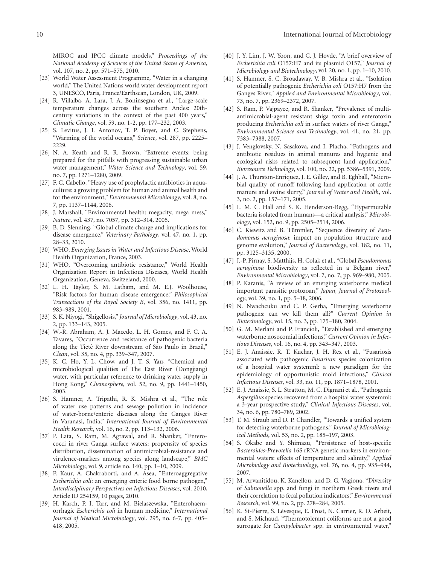- <span id="page-10-0"></span>[23] World Water Assessment Programme, "Water in a changing world," The United Nations world water development report 3, UNESCO, Paris, France/Earthscan, London, UK, 2009.
- <span id="page-10-1"></span>[24] R. Villalba, A. Lara, J. A. Boninsegna et al., "Large-scale temperature changes across the southern Andes: 20thcentury variations in the context of the past 400 years," *Climatic Change*, vol. 59, no. 1-2, pp. 177–232, 2003.
- <span id="page-10-2"></span>[25] S. Levitus, J. I. Antonov, T. P. Boyer, and C. Stephens, "Warming of the world oceans," *Science*, vol. 287, pp. 2225– 2229.
- <span id="page-10-3"></span>[26] N. A. Keath and R. R. Brown, "Extreme events: being prepared for the pitfalls with progressing sustainable urban water management," *Water Science and Technology*, vol. 59, no. 7, pp. 1271–1280, 2009.
- <span id="page-10-4"></span>[27] F. C. Cabello, "Heavy use of prophylactic antibiotics in aquaculture: a growing problem for human and animal health and for the environment," *Environmental Microbiology*, vol. 8, no. 7, pp. 1137–1144, 2006.
- <span id="page-10-5"></span>[28] J. Marshall, "Environmental health: megacity, mega mess," *Nature*, vol. 437, no. 7057, pp. 312–314, 2005.
- <span id="page-10-6"></span>[29] B. D. Slenning, "Global climate change and implications for disease emergence," *Veterinary Pathology*, vol. 47, no. 1, pp. 28–33, 2010.
- <span id="page-10-7"></span>[30] WHO, *Emerging Issues in Water and Infectious Disease*, World Health Organization, France, 2003.
- <span id="page-10-8"></span>[31] WHO, "Overcoming antibiotic resistance," World Health Organization Report in Infectious Diseases, World Health Organization, Geneva, Switzeland, 2000.
- <span id="page-10-9"></span>[32] L. H. Taylor, S. M. Latham, and M. E.J. Woolhouse, "Risk factors for human disease emergence," *Philosophical Transactions of the Royal Society B*, vol. 356, no. 1411, pp. 983–989, 2001.
- <span id="page-10-10"></span>[33] S. K. Niyogi, "Shigellosis," *Journal of Microbiology*, vol. 43, no. 2, pp. 133–143, 2005.
- <span id="page-10-11"></span>[34] W.-R. Abraham, A. J. Macedo, L. H. Gomes, and F. C. A. Tavares, "Occurrence and resistance of pathogenic bacteria along the Tietê River downstream of São Paulo in Brazil," *Clean*, vol. 35, no. 4, pp. 339–347, 2007.
- <span id="page-10-12"></span>[35] K. C. Ho, Y. L. Chow, and J. T. S. Yau, "Chemical and microbiological qualities of The East River (Dongjiang) water, with particular reference to drinking water supply in Hong Kong," *Chemosphere*, vol. 52, no. 9, pp. 1441–1450, 2003.
- <span id="page-10-13"></span>[36] S. Hamner, A. Tripathi, R. K. Mishra et al., "The role of water use patterns and sewage pollution in incidence of water-borne/enteric diseases along the Ganges River in Varanasi, India," *International Journal of Environmental Health Research*, vol. 16, no. 2, pp. 113–132, 2006.
- <span id="page-10-14"></span>[37] P. Lata, S. Ram, M. Agrawal, and R. Shanker, "Enterococci in river Ganga surface waters: propensity of species distribution, dissemination of antimicrobial-resistance and virulence-markers among species along landscape," *BMC Microbiology*, vol. 9, article no. 140, pp. 1–10, 2009.
- <span id="page-10-15"></span>[38] P. Kaur, A. Chakraborti, and A. Asea, "Enteroaggregative *Escherichia coli*: an emerging enteric food borne pathogen," *Interdisciplinary Perspectives on Infectious Diseases*, vol. 2010, Article ID 254159, 10 pages, 2010.
- <span id="page-10-16"></span>[39] H. Karch, P. I. Tarr, and M. Bielaszewska, "Enterohaemorrhagic *Escherichia coli* in human medicine," *International Journal of Medical Microbiology*, vol. 295, no. 6-7, pp. 405– 418, 2005.
- <span id="page-10-17"></span>[40] J. Y. Lim, J. W. Yoon, and C. J. Hovde, "A brief overview of *Escherichia coli* O157:H7 and its plasmid O157," *Journal of Microbiology and Biotechnology*, vol. 20, no. 1, pp. 1–10, 2010.
- <span id="page-10-18"></span>[41] S. Hamner, S. C. Broadaway, V. B. Mishra et al., "Isolation of potentially pathogenic *Escherichia coli* O157:H7 from the Ganges River," *Applied and Environmental Microbiology*, vol. 73, no. 7, pp. 2369–2372, 2007.
- <span id="page-10-19"></span>[42] S. Ram, P. Vajpayee, and R. Shanker, "Prevalence of multiantimicrobial-agent resistant shiga toxin and enterotoxin producing *Escherichia coli* in surface waters of river Ganga," *Environmental Science and Technology*, vol. 41, no. 21, pp. 7383–7388, 2007.
- <span id="page-10-20"></span>[43] J. Venglovsky, N. Sasakova, and I. Placha, "Pathogens and antibiotic residues in animal manures and hygienic and ecological risks related to subsequent land application," *Bioresource Technology*, vol. 100, no. 22, pp. 5386–5391, 2009.
- <span id="page-10-21"></span>[44] J. A. Thurston-Enriquez, J. E. Gilley, and B. Eghball, "Microbial quality of runoff following land application of cattle manure and swine slurry," *Journal of Water and Health*, vol. 3, no. 2, pp. 157–171, 2005.
- <span id="page-10-22"></span>[45] L. M. C. Hall and S. K. Henderson-Begg, "Hypermutable bacteria isolated from humans—a critical analysis," *Microbiology*, vol. 152, no. 9, pp. 2505–2514, 2006.
- <span id="page-10-23"></span>[46] C. Kiewitz and B. Tümmler, "Sequence diversity of Pseu*domonas aeruginosa*: impact on population structure and genome evolution," *Journal of Bacteriology*, vol. 182, no. 11, pp. 3125–3135, 2000.
- <span id="page-10-24"></span>[47] J.-P. Pirnay, S. Matthijs, H. Colak et al., "Global *Pseudomonas aeruginosa* biodiversity as reflected in a Belgian river," *Environmental Microbiology*, vol. 7, no. 7, pp. 969–980, 2005.
- <span id="page-10-25"></span>[48] P. Karanis, "A review of an emerging waterborne medical important parasitic protozoan," *Japan, Journal of Protozoology*, vol. 39, no. 1, pp. 5–18, 2006.
- <span id="page-10-26"></span>[49] N. Nwachcuku and C. P. Gerba, "Emerging waterborne pathogens: can we kill them all?" *Current Opinion in Biotechnology*, vol. 15, no. 3, pp. 175–180, 2004.
- <span id="page-10-27"></span>[50] G. M. Merlani and P. Francioli, "Established and emerging waterborne nosocomial infections," *Current Opinion in Infectious Diseases*, vol. 16, no. 4, pp. 343–347, 2003.
- <span id="page-10-28"></span>[51] E. J. Anaissie, R. T. Kuchar, J. H. Rex et al., "Fusariosis associated with pathogenic *Fusarium* species colonization of a hospital water systemml: a new paradigm for the epidemiology of opportunistic mold infections," *Clinical Infectious Diseases*, vol. 33, no. 11, pp. 1871–1878, 2001.
- <span id="page-10-29"></span>[52] E. J. Anaissie, S. L. Stratton, M. C. Dignani et al., "Pathogenic *Aspergillus* species recovered from a hospital water systemml: a 3-year prospective study," *Clinical Infectious Diseases*, vol. 34, no. 6, pp. 780–789, 2002.
- <span id="page-10-30"></span>[53] T. M. Straub and D. P. Chandler, "Towards a unified system for detecting waterborne pathogens," *Journal of Microbiological Methods*, vol. 53, no. 2, pp. 185–197, 2003.
- <span id="page-10-31"></span>[54] S. Okabe and Y. Shimazu, "Persistence of host-specific *Bacteroides-Prevotella* 16S rRNA genetic markers in environmental waters: effects of temperature and salinity," *Applied Microbiology and Biotechnology*, vol. 76, no. 4, pp. 935–944, 2007.
- <span id="page-10-32"></span>[55] M. Arvanitidou, K. Kanellou, and D. G. Vagiona, "Diversity of *Salmonella* spp. and fungi in northern Greek rivers and their correlation to fecal pollution indicators," *Environmental Research*, vol. 99, no. 2, pp. 278–284, 2005.
- <span id="page-10-33"></span>[56] K. St-Pierre, S. Lévesque, E. Frost, N. Carrier, R. D. Arbeit, and S. Michaud, "Thermotolerant coliforms are not a good surrogate for *Campylobacter* spp. in environmental water,"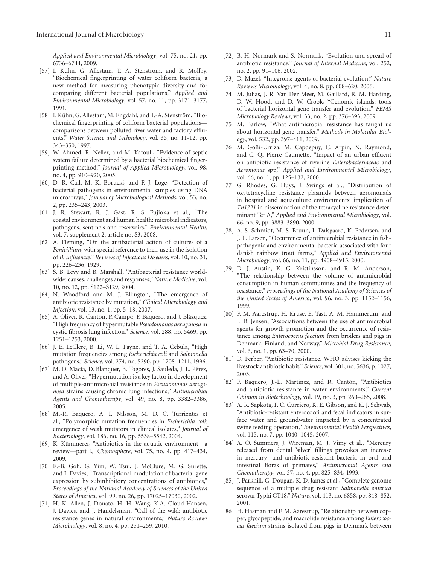*Applied and Environmental Microbiology*, vol. 75, no. 21, pp. 6736–6744, 2009.

- <span id="page-11-0"></span>[57] I. Kühn, G. Allestam, T. A. Stenstrom, and R. Mollby, "Biochemical fingerprinting of water coliform bacteria, a new method for measuring phenotypic diversity and for comparing different bacterial populations," *Applied and Environmental Microbiology*, vol. 57, no. 11, pp. 3171–3177, 1991.
- <span id="page-11-1"></span>[58] I. Kühn, G. Allestam, M. Engdahl, and T.-A. Stenström, "Biochemical fingerprinting of coliform bacterial populations comparisons between polluted river water and factory effluents," *Water Science and Technology*, vol. 35, no. 11-12, pp. 343–350, 1997.
- <span id="page-11-2"></span>[59] W. Ahmed, R. Neller, and M. Katouli, "Evidence of septic system failure determined by a bacterial biochemical fingerprinting method," *Journal of Applied Microbiology*, vol. 98, no. 4, pp. 910–920, 2005.
- <span id="page-11-3"></span>[60] D. R. Call, M. K. Borucki, and F. J. Loge, "Detection of bacterial pathogens in environmental samples using DNA microarrays," *Journal of Microbiological Methods*, vol. 53, no. 2, pp. 235–243, 2003.
- <span id="page-11-4"></span>[61] J. R. Stewart, R. J. Gast, R. S. Fujioka et al., "The coastal environment and human health: microbial indicators, pathogens, sentinels and reservoirs," *Environmental Health*, vol. 7, supplement 2, article no. S3, 2008.
- <span id="page-11-5"></span>[62] A. Fleming, "On the antibacterial action of cultures of a *Penicillium*, with special reference to their use in the isolation of *B. influenzæ*," *Reviews of Infectious Diseases*, vol. 10, no. 31, pp. 226–236, 1929.
- <span id="page-11-6"></span>[63] S. B. Levy and B. Marshall, "Antibacterial resistance worldwide: causes, challenges and responses," *Nature Medicine*, vol. 10, no. 12, pp. S122–S129, 2004.
- <span id="page-11-7"></span>[64] N. Woodford and M. J. Ellington, "The emergence of antibiotic resistance by mutation," *Clinical Microbiology and Infection*, vol. 13, no. 1, pp. 5–18, 2007.
- <span id="page-11-8"></span>[65] A. Oliver, R. Cantón, P. Campo, F. Baquero, and J. Blázquez, "High frequency of hypermutable *Pseudomonas aeruginosa* in cystic fibrosis lung infection," *Science*, vol. 288, no. 5469, pp. 1251–1253, 2000.
- <span id="page-11-9"></span>[66] J. E. LeClerc, B. Li, W. L. Payne, and T. A. Cebula, "High mutation frequencies among *Escherichia coli* and *Salmonella* pathogens," *Science*, vol. 274, no. 5290, pp. 1208–1211, 1996.
- <span id="page-11-10"></span>[67] M. D. Macía, D. Blanquer, B. Togores, J. Sauleda, J. L. Pérez, and A. Oliver, "Hypermutation is a key factor in development of multiple-antimicrobial resistance in *Pseudomonas aeruginosa* strains causing chronic lung infections," *Antimicrobial Agents and Chemotherapy*, vol. 49, no. 8, pp. 3382–3386, 2005.
- <span id="page-11-11"></span>[68] M.-R. Baquero, A. I. Nilsson, M. D. C. Turrientes et al., "Polymorphic mutation frequencies in *Escherichia coli*: emergence of weak mutators in clinical isolates," *Journal of Bacteriology*, vol. 186, no. 16, pp. 5538–5542, 2004.
- <span id="page-11-12"></span>[69] K. Kümmerer, "Antibiotics in the aquatic environment-a review—part I," *Chemosphere*, vol. 75, no. 4, pp. 417–434, 2009.
- <span id="page-11-13"></span>[70] E.-B. Goh, G. Yim, W. Tsui, J. McClure, M. G. Surette, and J. Davies, "Transcriptional modulation of bacterial gene expression by subinhibitory concentrations of antibiotics," *Proceedings of the National Academy of Sciences of the United States of America*, vol. 99, no. 26, pp. 17025–17030, 2002.
- <span id="page-11-14"></span>[71] H. K. Allen, J. Donato, H. H. Wang, K.A. Cloud-Hansen, J. Davies, and J. Handelsman, "Call of the wild: antibiotic resistance genes in natural environments," *Nature Reviews Microbiology*, vol. 8, no. 4, pp. 251–259, 2010.
- <span id="page-11-15"></span>[72] B. H. Normark and S. Normark, "Evolution and spread of antibiotic resistance," *Journal of Internal Medicine*, vol. 252, no. 2, pp. 91–106, 2002.
- <span id="page-11-16"></span>[73] D. Mazel, "Integrons: agents of bacterial evolution," *Nature Reviews Microbiology*, vol. 4, no. 8, pp. 608–620, 2006.
- <span id="page-11-17"></span>[74] M. Juhas, J. R. Van Der Meer, M. Gaillard, R. M. Harding, D. W. Hood, and D. W. Crook, "Genomic islands: tools of bacterial horizontal gene transfer and evolution," *FEMS Microbiology Reviews*, vol. 33, no. 2, pp. 376–393, 2009.
- <span id="page-11-18"></span>[75] M. Barlow, "What antimicrobial resistance has taught us about horizontal gene transfer," *Methods in Molecular Biology*, vol. 532, pp. 397–411, 2009.
- <span id="page-11-19"></span>[76] M. Goñi-Urriza, M. Capdepuy, C. Arpin, N. Raymond, and C. Q. Pierre Caumette, "Impact of an urban effluent on antibiotic resistance of riverine *Enterobacteriaceae* and *Aeromonas* spp," *Applied and Environmental Microbiology*, vol. 66, no. 1, pp. 125–132, 2000.
- <span id="page-11-20"></span>[77] G. Rhodes, G. Huys, J. Swings et al., "Distribution of oxytetracycline resistance plasmids between aeromonads in hospital and aquaculture environments: implication of *Tn1721* in dissemination of the tetracycline resistance determinant Tet A," *Applied and Environmental Microbiology*, vol. 66, no. 9, pp. 3883–3890, 2000.
- <span id="page-11-21"></span>[78] A. S. Schmidt, M. S. Bruun, I. Dalsgaard, K. Pedersen, and J. L. Larsen, "Occurrence of antimicrobial resistance in fishpathogenic and environmental bacteria associated with four danish rainbow trout farms," *Applied and Environmental Microbiology*, vol. 66, no. 11, pp. 4908–4915, 2000.
- <span id="page-11-22"></span>[79] D. J. Austin, K. G. Kristinsson, and R. M. Anderson, "The relationship between the volume of antimicrobial consumption in human communities and the frequency of resistance," *Proceedings of the National Academy of Sciences of the United States of America*, vol. 96, no. 3, pp. 1152–1156, 1999.
- <span id="page-11-23"></span>[80] F. M. Aarestrup, H. Kruse, E. Tast, A. M. Hammerum, and L. B. Jensen, "Associations between the use of antimicrobial agents for growth promotion and the occurrence of resistance among *Enterococcus faecium* from broilers and pigs in Denmark, Finland, and Norway," *Microbial Drug Resistance*, vol. 6, no. 1, pp. 63–70, 2000.
- <span id="page-11-24"></span>[81] D. Ferber, "Antibiotic resistance. WHO advises kicking the livestock antibiotic habit," *Science*, vol. 301, no. 5636, p. 1027, 2003.
- <span id="page-11-25"></span>[82] F. Baquero, J.-L. Martínez, and R. Cantón, "Antibiotics and antibiotic resistance in water environments," *Current Opinion in Biotechnology*, vol. 19, no. 3, pp. 260–265, 2008.
- <span id="page-11-26"></span>[83] A. R. Sapkota, F. C. Curriero, K. E. Gibson, and K. J. Schwab, "Antibiotic-resistant enterococci and fecal indicators in surface water and groundwater impacted by a concentrated swine feeding operation," *Environmental Health Perspectives*, vol. 115, no. 7, pp. 1040–1045, 2007.
- <span id="page-11-27"></span>[84] A. O. Summers, J. Wireman, M. J. Vimy et al., "Mercury released from dental 'silver' fillings provokes an increase in mercury- and antibiotic-resistant bacteria in oral and intestinal floras of primates," *Antimicrobial Agents and Chemotherapy*, vol. 37, no. 4, pp. 825–834, 1993.
- <span id="page-11-28"></span>[85] J. Parkhill, G. Dougan, K. D. James et al., "Complete genome sequence of a multiple drug resistant *Salmonella enterica* serovar Typhi CT18," *Nature*, vol. 413, no. 6858, pp. 848–852, 2001.
- <span id="page-11-29"></span>[86] H. Hasman and F. M. Aarestrup, "Relationship between copper, glycopeptide, and macrolide resistance among *Enterococcus faecium* strains isolated from pigs in Denmark between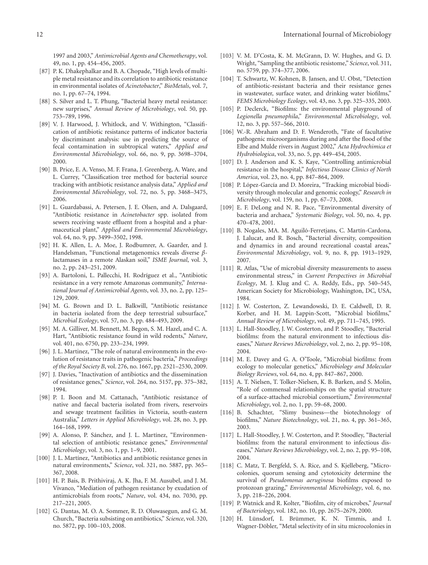1997 and 2003," *Antimicrobial Agents and Chemotherapy*, vol. 49, no. 1, pp. 454–456, 2005.

- <span id="page-12-0"></span>[87] P. K. Dhakephalkar and B. A. Chopade, "High levels of multiple metal resistance and its correlation to antibiotic resistance in environmental isolates of *Acinetobacter*," *BioMetals*, vol. 7, no. 1, pp. 67–74, 1994.
- <span id="page-12-1"></span>[88] S. Silver and L. T. Phung, "Bacterial heavy metal resistance: new surprises," *Annual Review of Microbiology*, vol. 50, pp. 753–789, 1996.
- <span id="page-12-2"></span>[89] V. J. Harwood, J. Whitlock, and V. Withington, "Classification of antibiotic resistance patterns of indicator bacteria by discriminant analysis: use in predicting the source of fecal contamination in subtropical waters," *Applied and Environmental Microbiology*, vol. 66, no. 9, pp. 3698–3704, 2000.
- <span id="page-12-3"></span>[90] B. Price, E. A. Venso, M. F. Frana, J. Greenberg, A. Ware, and L. Currey, "Classification tree method for bacterial source tracking with antibiotic resistance analysis data," *Applied and Environmental Microbiology*, vol. 72, no. 5, pp. 3468–3475, 2006.
- <span id="page-12-4"></span>[91] L. Guardabassi, A. Petersen, J. E. Olsen, and A. Dalsgaard, "Antibiotic resistance in *Acinetobacter* spp. isolated from sewers receiving waste effluent from a hospital and a pharmaceutical plant," *Applied and Environmental Microbiology*, vol. 64, no. 9, pp. 3499–3502, 1998.
- <span id="page-12-5"></span>[92] H. K. Allen, L. A. Moe, J. Rodbumrer, A. Gaarder, and J. Handelsman, "Functional metagenomics reveals diverse *β*lactamases in a remote Alaskan soil," *ISME Journal*, vol. 3, no. 2, pp. 243–251, 2009.
- <span id="page-12-6"></span>[93] A. Bartoloni, L. Pallecchi, H. Rodríguez et al., "Antibiotic resistance in a very remote Amazonas community," *International Journal of Antimicrobial Agents*, vol. 33, no. 2, pp. 125– 129, 2009.
- <span id="page-12-7"></span>[94] M. G. Brown and D. L. Balkwill, "Antibiotic resistance in bacteria isolated from the deep terrestrial subsurface," *Microbial Ecology*, vol. 57, no. 3, pp. 484–493, 2009.
- <span id="page-12-8"></span>[95] M. A. Gilliver, M. Bennett, M. Begon, S. M. Hazel, and C. A. Hart, "Antibiotic resistance found in wild rodents," *Nature*, vol. 401, no. 6750, pp. 233–234, 1999.
- <span id="page-12-9"></span>[96] J. L. Martinez, "The role of natural environments in the evolution of resistance traits in pathogenic bacteria," *Proceedings of the Royal Society B*, vol. 276, no. 1667, pp. 2521–2530, 2009.
- <span id="page-12-10"></span>[97] J. Davies, "Inactivation of antibiotics and the dissemination of resistance genes," *Science*, vol. 264, no. 5157, pp. 375–382, 1994.
- <span id="page-12-11"></span>[98] P. I. Boon and M. Cattanach, "Antibiotic resistance of native and faecal bacteria isolated from rivers, reservoirs and sewage treatment facilities in Victoria, south-eastern Australia," *Letters in Applied Microbiology*, vol. 28, no. 3, pp. 164–168, 1999.
- <span id="page-12-12"></span>[99] A. Alonso, P. Sánchez, and J. L. Martínez, "Environmental selection of antibiotic resistance genes," *Environmental Microbiology*, vol. 3, no. 1, pp. 1–9, 2001.
- <span id="page-12-13"></span>[100] J. L. Martínez, "Antibiotics and antibiotic resistance genes in natural environments," *Science*, vol. 321, no. 5887, pp. 365– 367, 2008.
- <span id="page-12-14"></span>[101] H. P. Bais, B. Prithiviraj, A. K. Jha, F. M. Ausubel, and J. M. Vivanco, "Mediation of pathogen resistance by exudation of antimicrobials from roots," *Nature*, vol. 434, no. 7030, pp. 217–221, 2005.
- <span id="page-12-15"></span>[102] G. Dantas, M. O. A. Sommer, R. D. Oluwasegun, and G. M. Church, "Bacteria subsisting on antibiotics," *Science*, vol. 320, no. 5872, pp. 100–103, 2008.
- <span id="page-12-16"></span>[103] V. M. D'Costa, K. M. McGrann, D. W. Hughes, and G. D. Wright, "Sampling the antibiotic resistome," *Science*, vol. 311, no. 5759, pp. 374–377, 2006.
- <span id="page-12-17"></span>[104] T. Schwartz, W. Kohnen, B. Jansen, and U. Obst, "Detection of antibiotic-resistant bacteria and their resistance genes in wastewater, surface water, and drinking water biofilms," *FEMS Microbiology Ecology*, vol. 43, no. 3, pp. 325–335, 2003.
- <span id="page-12-18"></span>[105] P. Declerck, "Biofilms: the environmental playground of *Legionella pneumophila*," *Environmental Microbiology*, vol. 12, no. 3, pp. 557–566, 2010.
- <span id="page-12-19"></span>[106] W.-R. Abraham and D. F. Wenderoth, "Fate of facultative pathogenic microorganisms during and after the flood of the Elbe and Mulde rivers in August 2002," *Acta Hydrochimica et Hydrobiologica*, vol. 33, no. 5, pp. 449–454, 2005.
- <span id="page-12-20"></span>[107] D. J. Anderson and K. S. Kaye, "Controlling antimicrobial resistance in the hospital," *Infectious Disease Clinics of North America*, vol. 23, no. 4, pp. 847–864, 2009.
- <span id="page-12-21"></span>[108] P. López-García and D. Moreira, "Tracking microbial biodiversity through molecular and genomic ecology," *Research in Microbiology*, vol. 159, no. 1, pp. 67–73, 2008.
- <span id="page-12-22"></span>[109] E. F. DeLong and N. R. Pace, "Environmental diversity of bacteria and archaea," *Systematic Biology*, vol. 50, no. 4, pp. 470–478, 2001.
- <span id="page-12-23"></span>[110] B. Nogales, MA. M. Aguiló-Ferretjans, C. Martín-Cardona, J. Lalucat, and R. Bosch, "Bacterial diversity, composition and dynamics in and around recreational coastal areas," *Environmental Microbiology*, vol. 9, no. 8, pp. 1913–1929, 2007.
- <span id="page-12-24"></span>[111] R. Atlas, "Use of microbial diversity measurements to assess environmental stress," in *Current Perspectives in Microbial Ecology*, M. J. Klug and C. A. Reddy, Eds., pp. 540–545, American Society for Microbiology, Washington, DC, USA, 1984.
- <span id="page-12-25"></span>[112] J. W. Costerton, Z. Lewandowski, D. E. Caldwell, D. R. Korber, and H. M. Lappin-Scott, "Microbial biofilms," *Annual Review of Microbiology*, vol. 49, pp. 711–745, 1995.
- <span id="page-12-26"></span>[113] L. Hall-Stoodley, J. W. Costerton, and P. Stoodley, "Bacterial biofilms: from the natural environment to infectious diseases," *Nature Reviews Microbiology*, vol. 2, no. 2, pp. 95–108, 2004.
- <span id="page-12-27"></span>[114] M. E. Davey and G. A. O'Toole, "Microbial biofilms: from ecology to molecular genetics," *Microbiology and Molecular Biology Reviews*, vol. 64, no. 4, pp. 847–867, 2000.
- <span id="page-12-28"></span>[115] A. T. Nielsen, T. Tolker-Nielsen, K. B. Barken, and S. Molin, "Role of commensal relationships on the spatial structure of a surface-attached microbial consortium," *Environmental Microbiology*, vol. 2, no. 1, pp. 59–68, 2000.
- <span id="page-12-29"></span>[116] B. Schachter, "Slimy business—the biotechnology of biofilms," *Nature Biotechnology*, vol. 21, no. 4, pp. 361–365, 2003.
- <span id="page-12-30"></span>[117] L. Hall-Stoodley, J. W. Costerton, and P. Stoodley, "Bacterial biofilms: from the natural environment to infectious diseases," *Nature Reviews Microbiology*, vol. 2, no. 2, pp. 95–108, 2004.
- <span id="page-12-31"></span>[118] C. Matz, T. Bergfeld, S. A. Rice, and S. Kjelleberg, "Microcolonies, quorum sensing and cytotoxicity determine the survival of *Pseudomonas aeruginosa* biofilms exposed to protozoan grazing," *Environmental Microbiology*, vol. 6, no. 3, pp. 218–226, 2004.
- <span id="page-12-32"></span>[119] P. Watnick and R. Kolter, "Biofilm, city of microbes," *Journal of Bacteriology*, vol. 182, no. 10, pp. 2675–2679, 2000.
- <span id="page-12-33"></span>[120] H. Lünsdorf, I. Brümmer, K. N. Timmis, and I. Wagner-Döbler, "Metal selectivity of in situ microcolonies in